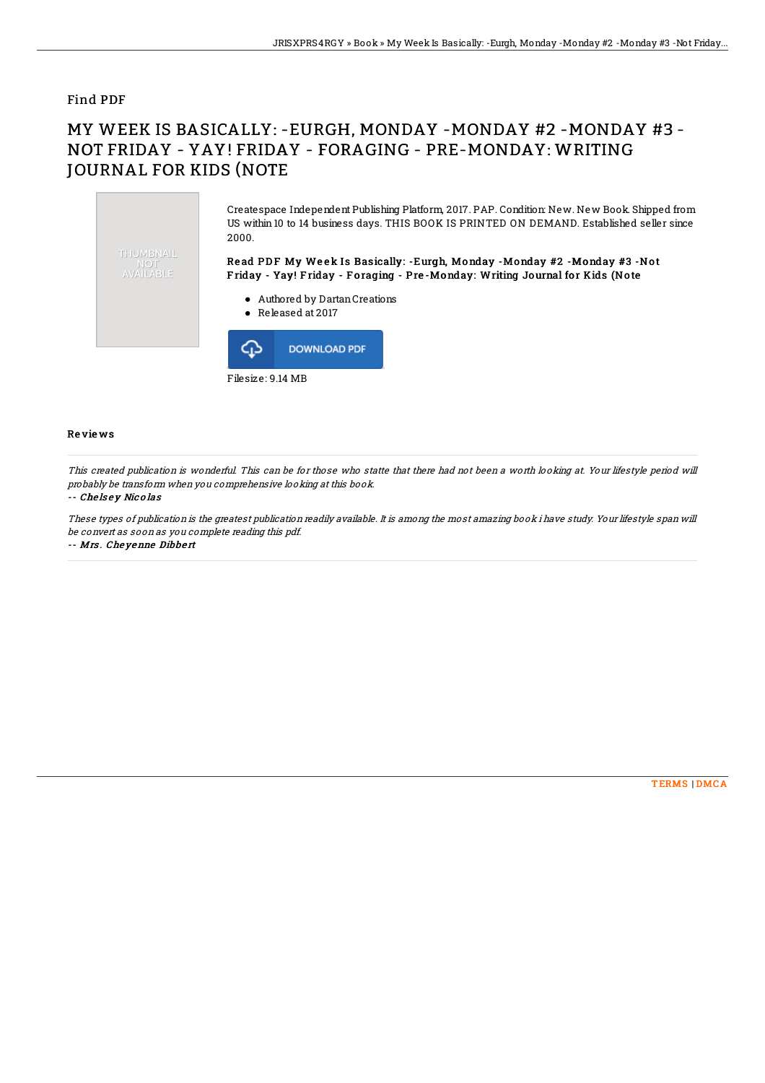### Find PDF

# MY WEEK IS BASICALLY: -EURGH, MONDAY -MONDAY #2 -MONDAY #3 - NOT FRIDAY - YAY! FRIDAY - FORAGING - PRE-MONDAY: WRITING JOURNAL FOR KIDS (NOTE



Filesize: 9.14 MB

#### Re vie ws

This created publication is wonderful. This can be for those who statte that there had not been <sup>a</sup> worth looking at. Your lifestyle period will probably be transform when you comprehensive looking at this book.

#### -- Che ls <sup>e</sup> y Nic <sup>o</sup> las

These types of publication is the greatest publication readily available. It is among the most amazing book i have study. Your lifestyle span will be convert as soon as you complete reading this pdf.

-- Mrs . Che yenne Dibbe rt